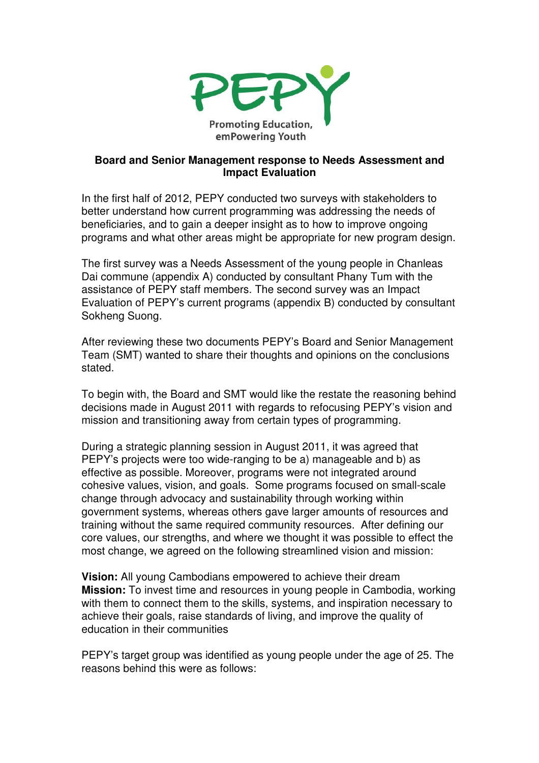

## **Board and Senior Management response to Needs Assessment and Impact Evaluation**

In the first half of 2012, PEPY conducted two surveys with stakeholders to better understand how current programming was addressing the needs of beneficiaries, and to gain a deeper insight as to how to improve ongoing programs and what other areas might be appropriate for new program design.

The first survey was a Needs Assessment of the young people in Chanleas Dai commune (appendix A) conducted by consultant Phany Tum with the assistance of PEPY staff members. The second survey was an Impact Evaluation of PEPY's current programs (appendix B) conducted by consultant Sokheng Suong.

After reviewing these two documents PEPY's Board and Senior Management Team (SMT) wanted to share their thoughts and opinions on the conclusions stated.

To begin with, the Board and SMT would like the restate the reasoning behind decisions made in August 2011 with regards to refocusing PEPY's vision and mission and transitioning away from certain types of programming.

During a strategic planning session in August 2011, it was agreed that PEPY's projects were too wide-ranging to be a) manageable and b) as effective as possible. Moreover, programs were not integrated around cohesive values, vision, and goals. Some programs focused on small-scale change through advocacy and sustainability through working within government systems, whereas others gave larger amounts of resources and training without the same required community resources. After defining our core values, our strengths, and where we thought it was possible to effect the most change, we agreed on the following streamlined vision and mission:

**Vision:** All young Cambodians empowered to achieve their dream **Mission:** To invest time and resources in young people in Cambodia, working with them to connect them to the skills, systems, and inspiration necessary to achieve their goals, raise standards of living, and improve the quality of education in their communities

PEPY's target group was identified as young people under the age of 25. The reasons behind this were as follows: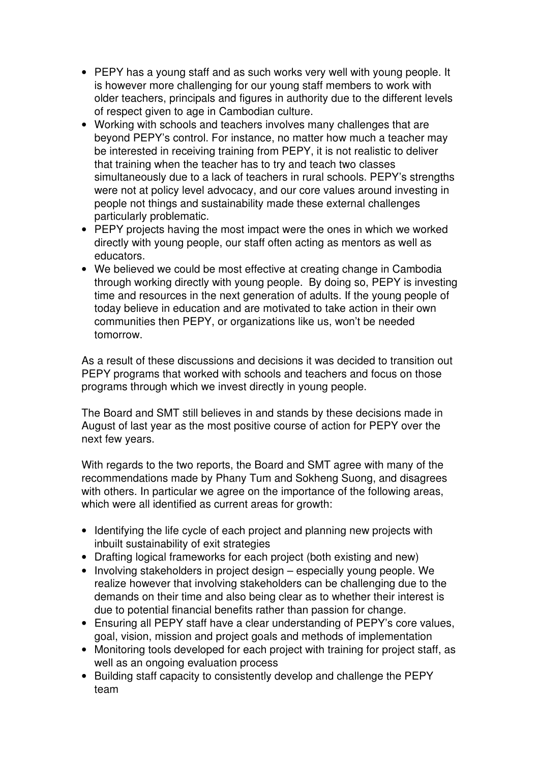- PEPY has a young staff and as such works very well with young people. It is however more challenging for our young staff members to work with older teachers, principals and figures in authority due to the different levels of respect given to age in Cambodian culture.
- Working with schools and teachers involves many challenges that are beyond PEPY's control. For instance, no matter how much a teacher may be interested in receiving training from PEPY, it is not realistic to deliver that training when the teacher has to try and teach two classes simultaneously due to a lack of teachers in rural schools. PEPY's strengths were not at policy level advocacy, and our core values around investing in people not things and sustainability made these external challenges particularly problematic.
- PEPY projects having the most impact were the ones in which we worked directly with young people, our staff often acting as mentors as well as educators.
- We believed we could be most effective at creating change in Cambodia through working directly with young people. By doing so, PEPY is investing time and resources in the next generation of adults. If the young people of today believe in education and are motivated to take action in their own communities then PEPY, or organizations like us, won't be needed tomorrow.

As a result of these discussions and decisions it was decided to transition out PEPY programs that worked with schools and teachers and focus on those programs through which we invest directly in young people.

The Board and SMT still believes in and stands by these decisions made in August of last year as the most positive course of action for PEPY over the next few years.

With regards to the two reports, the Board and SMT agree with many of the recommendations made by Phany Tum and Sokheng Suong, and disagrees with others. In particular we agree on the importance of the following areas, which were all identified as current areas for growth:

- Identifying the life cycle of each project and planning new projects with inbuilt sustainability of exit strategies
- Drafting logical frameworks for each project (both existing and new)
- Involving stakeholders in project design especially young people. We realize however that involving stakeholders can be challenging due to the demands on their time and also being clear as to whether their interest is due to potential financial benefits rather than passion for change.
- Ensuring all PEPY staff have a clear understanding of PEPY's core values, goal, vision, mission and project goals and methods of implementation
- Monitoring tools developed for each project with training for project staff, as well as an ongoing evaluation process
- Building staff capacity to consistently develop and challenge the PEPY team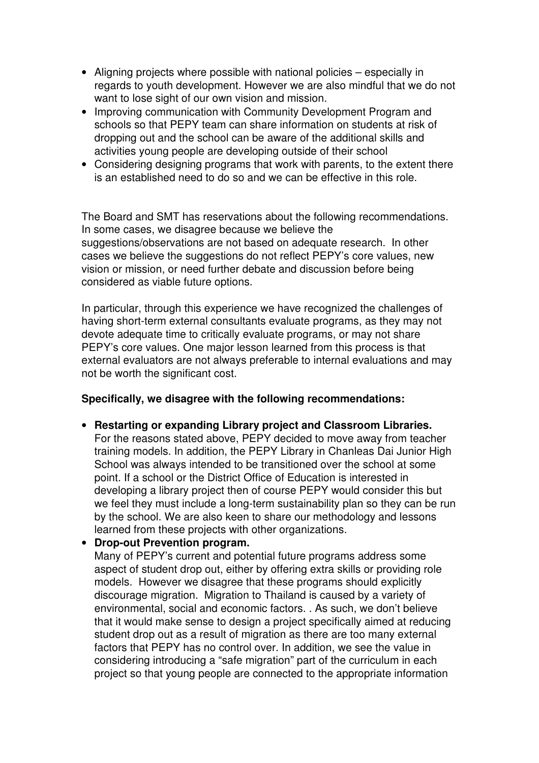- Aligning projects where possible with national policies especially in regards to youth development. However we are also mindful that we do not want to lose sight of our own vision and mission.
- Improving communication with Community Development Program and schools so that PEPY team can share information on students at risk of dropping out and the school can be aware of the additional skills and activities young people are developing outside of their school
- Considering designing programs that work with parents, to the extent there is an established need to do so and we can be effective in this role.

The Board and SMT has reservations about the following recommendations. In some cases, we disagree because we believe the suggestions/observations are not based on adequate research. In other cases we believe the suggestions do not reflect PEPY's core values, new vision or mission, or need further debate and discussion before being considered as viable future options.

In particular, through this experience we have recognized the challenges of having short-term external consultants evaluate programs, as they may not devote adequate time to critically evaluate programs, or may not share PEPY's core values. One major lesson learned from this process is that external evaluators are not always preferable to internal evaluations and may not be worth the significant cost.

## **Specifically, we disagree with the following recommendations:**

• **Restarting or expanding Library project and Classroom Libraries.**  For the reasons stated above, PEPY decided to move away from teacher training models. In addition, the PEPY Library in Chanleas Dai Junior High School was always intended to be transitioned over the school at some point. If a school or the District Office of Education is interested in developing a library project then of course PEPY would consider this but we feel they must include a long-term sustainability plan so they can be run by the school. We are also keen to share our methodology and lessons learned from these projects with other organizations.

## • **Drop-out Prevention program.**

Many of PEPY's current and potential future programs address some aspect of student drop out, either by offering extra skills or providing role models. However we disagree that these programs should explicitly discourage migration. Migration to Thailand is caused by a variety of environmental, social and economic factors. . As such, we don't believe that it would make sense to design a project specifically aimed at reducing student drop out as a result of migration as there are too many external factors that PEPY has no control over. In addition, we see the value in considering introducing a "safe migration" part of the curriculum in each project so that young people are connected to the appropriate information